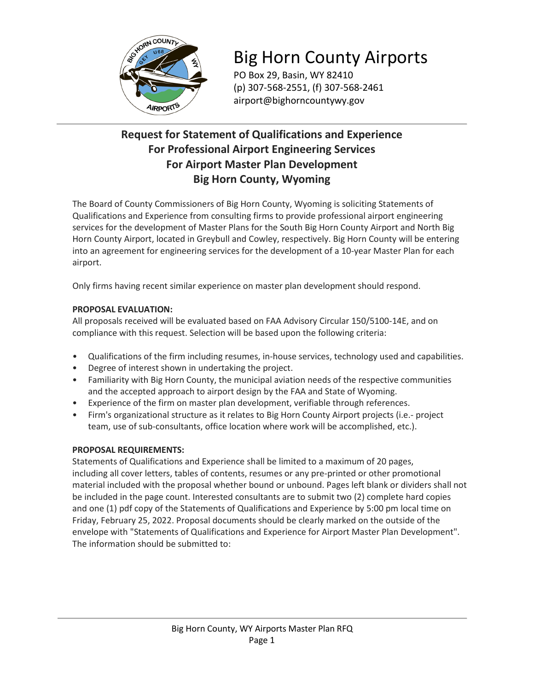

# Big Horn County Airports

PO Box 29, Basin, WY 82410 (p) 307-568-2551, (f) 307-568-2461 airport@bighorncountywy.gov

### **Request for Statement of Qualifications and Experience For Professional Airport Engineering Services For Airport Master Plan Development Big Horn County, Wyoming**

The Board of County Commissioners of Big Horn County, Wyoming is soliciting Statements of Qualifications and Experience from consulting firms to provide professional airport engineering services for the development of Master Plans for the South Big Horn County Airport and North Big Horn County Airport, located in Greybull and Cowley, respectively. Big Horn County will be entering into an agreement for engineering services for the development of a 10-year Master Plan for each airport.

Only firms having recent similar experience on master plan development should respond.

### **PROPOSAL EVALUATION:**

All proposals received will be evaluated based on FAA Advisory Circular 150/5100-14E, and on compliance with this request. Selection will be based upon the following criteria:

- Qualifications of the firm including resumes, in-house services, technology used and capabilities.
- Degree of interest shown in undertaking the project.
- Familiarity with Big Horn County, the municipal aviation needs of the respective communities and the accepted approach to airport design by the FAA and State of Wyoming.
- Experience of the firm on master plan development, verifiable through references.
- Firm's organizational structure as it relates to Big Horn County Airport projects (i.e.- project team, use of sub-consultants, office location where work will be accomplished, etc.).

#### **PROPOSAL REQUIREMENTS:**

Statements of Qualifications and Experience shall be limited to a maximum of 20 pages, including all cover letters, tables of contents, resumes or any pre-printed or other promotional material included with the proposal whether bound or unbound. Pages left blank or dividers shall not be included in the page count. Interested consultants are to submit two (2) complete hard copies and one (1) pdf copy of the Statements of Qualifications and Experience by 5:00 pm local time on Friday, February 25, 2022. Proposal documents should be clearly marked on the outside of the envelope with "Statements of Qualifications and Experience for Airport Master Plan Development". The information should be submitted to: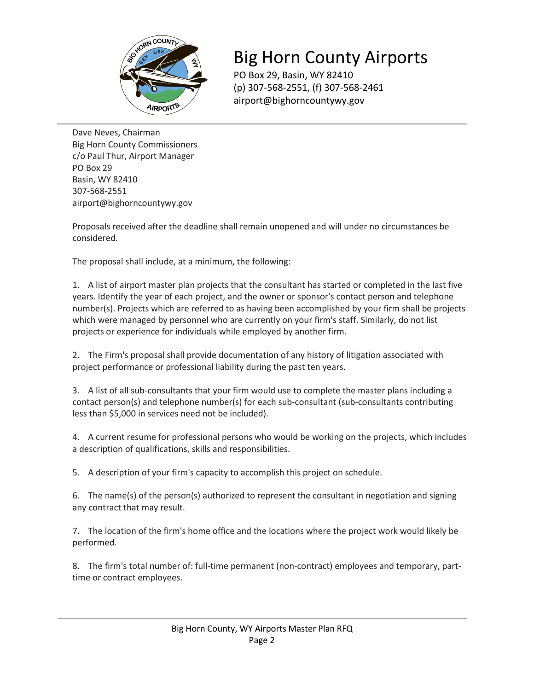

## Big Horn County Airports

PO Box 29, Basin, WY 82410 (p) 307-568-2551, (f) 307-568-2461 airport@bighorncountywy.gov

Dave Neves, Chairman Big Horn County Commissioners c/o Paul Thur, Airport Manager PO Box 29 Basin, WY 82410 307-568-2551 airport@bighorncountywy.gov

Proposals received after the deadline shall remain unopened and will under no circumstances be considered.

The proposal shall include, at a minimum, the following:

1. A list of airport master plan projects that the consultant has started or completed in the last five years. Identify the year of each project, and the owner or sponsor's contact person and telephone number(s). Projects which are referred to as having been accomplished by your firm shall be projects which were managed by personnel who are currently on your firm's staff. Similarly, do not list projects or experience for individuals while employed by another firm.

2. The Firm's proposal shall provide documentation of any history of litigation associated with project performance or professional liability during the past ten years.

3. A list of all sub-consultants that your firm would use to complete the master plans including a contact person(s) and telephone number(s) for each sub-consultant (sub-consultants contributing less than \$5,000 in services need not be included).

4. A current resume for professional persons who would be working on the projects, which includes a description of qualifications, skills and responsibilities.

5. A description of your firm's capacity to accomplish this project on schedule.

6. The name(s) of the person(s) authorized to represent the consultant in negotiation and signing any contract that may result.

7. The location of the firm's home office and the locations where the project work would likely be performed.

8. The firm's total number of: full-time permanent (non-contract) employees and temporary, parttime or contract employees.